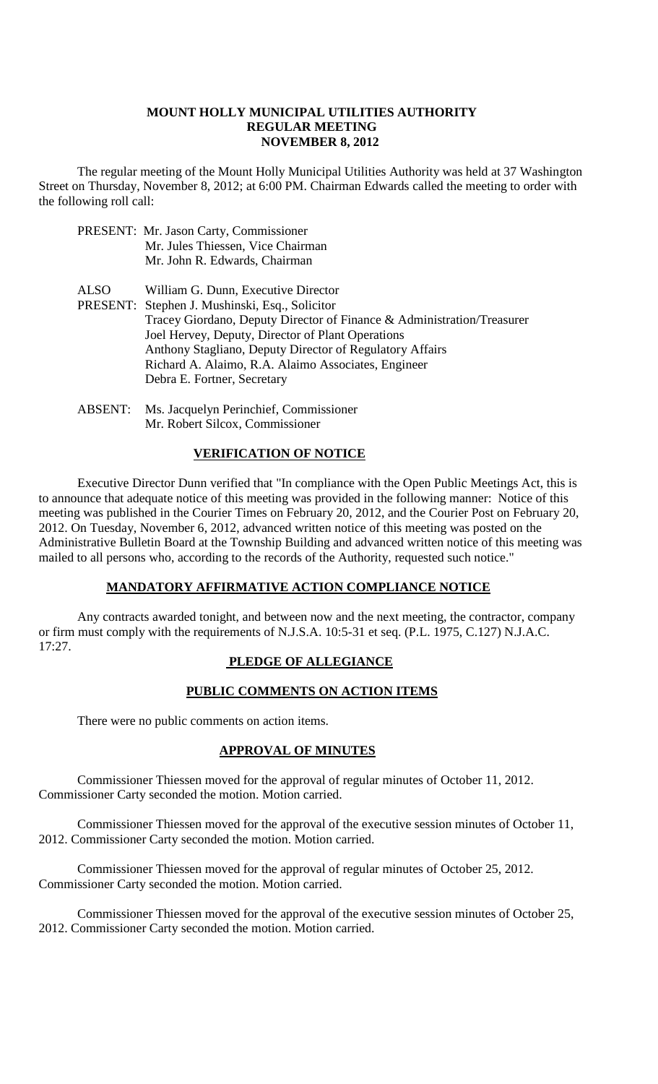#### **MOUNT HOLLY MUNICIPAL UTILITIES AUTHORITY REGULAR MEETING NOVEMBER 8, 2012**

The regular meeting of the Mount Holly Municipal Utilities Authority was held at 37 Washington Street on Thursday, November 8, 2012; at 6:00 PM. Chairman Edwards called the meeting to order with the following roll call:

- PRESENT: Mr. Jason Carty, Commissioner Mr. Jules Thiessen, Vice Chairman Mr. John R. Edwards, Chairman
- ALSO William G. Dunn, Executive Director
- PRESENT: Stephen J. Mushinski, Esq., Solicitor Tracey Giordano, Deputy Director of Finance & Administration/Treasurer Joel Hervey, Deputy, Director of Plant Operations Anthony Stagliano, Deputy Director of Regulatory Affairs Richard A. Alaimo, R.A. Alaimo Associates, Engineer Debra E. Fortner, Secretary
- ABSENT: Ms. Jacquelyn Perinchief, Commissioner Mr. Robert Silcox, Commissioner

#### **VERIFICATION OF NOTICE**

Executive Director Dunn verified that "In compliance with the Open Public Meetings Act, this is to announce that adequate notice of this meeting was provided in the following manner: Notice of this meeting was published in the Courier Times on February 20, 2012, and the Courier Post on February 20, 2012. On Tuesday, November 6, 2012, advanced written notice of this meeting was posted on the Administrative Bulletin Board at the Township Building and advanced written notice of this meeting was mailed to all persons who, according to the records of the Authority, requested such notice."

### **MANDATORY AFFIRMATIVE ACTION COMPLIANCE NOTICE**

Any contracts awarded tonight, and between now and the next meeting, the contractor, company or firm must comply with the requirements of N.J.S.A. 10:5-31 et seq. (P.L. 1975, C.127) N.J.A.C. 17:27.

# **PLEDGE OF ALLEGIANCE**

# **PUBLIC COMMENTS ON ACTION ITEMS**

There were no public comments on action items.

# **APPROVAL OF MINUTES**

Commissioner Thiessen moved for the approval of regular minutes of October 11, 2012. Commissioner Carty seconded the motion. Motion carried.

Commissioner Thiessen moved for the approval of the executive session minutes of October 11, 2012. Commissioner Carty seconded the motion. Motion carried.

Commissioner Thiessen moved for the approval of regular minutes of October 25, 2012. Commissioner Carty seconded the motion. Motion carried.

Commissioner Thiessen moved for the approval of the executive session minutes of October 25, 2012. Commissioner Carty seconded the motion. Motion carried.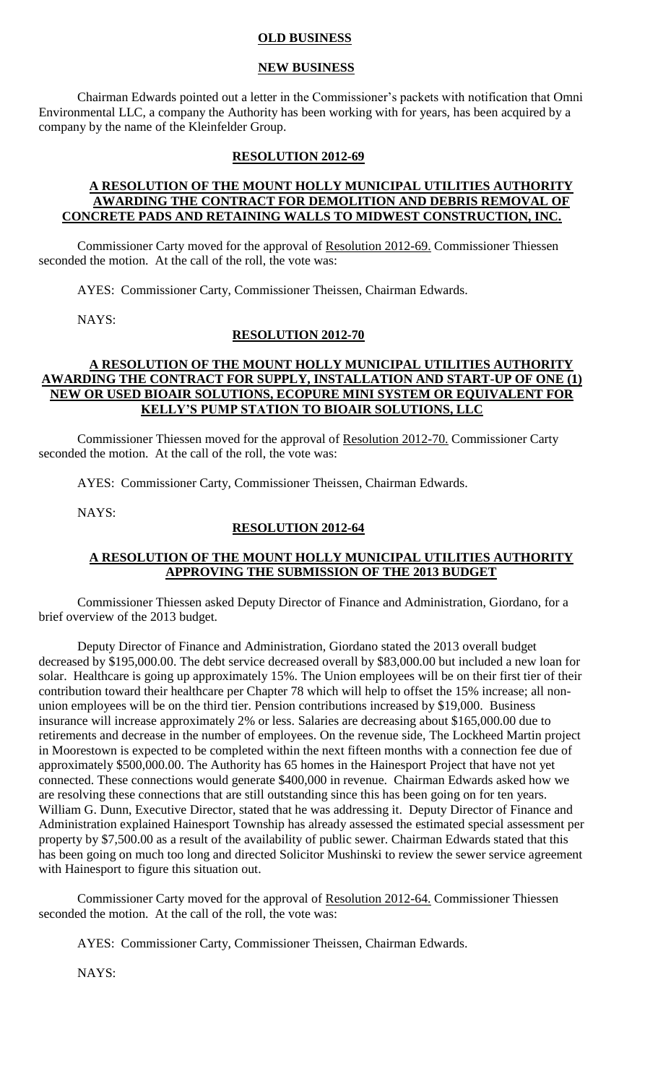#### **OLD BUSINESS**

#### **NEW BUSINESS**

Chairman Edwards pointed out a letter in the Commissioner's packets with notification that Omni Environmental LLC, a company the Authority has been working with for years, has been acquired by a company by the name of the Kleinfelder Group.

#### **RESOLUTION 2012-69**

#### **A RESOLUTION OF THE MOUNT HOLLY MUNICIPAL UTILITIES AUTHORITY AWARDING THE CONTRACT FOR DEMOLITION AND DEBRIS REMOVAL OF CONCRETE PADS AND RETAINING WALLS TO MIDWEST CONSTRUCTION, INC.**

Commissioner Carty moved for the approval of Resolution 2012-69. Commissioner Thiessen seconded the motion. At the call of the roll, the vote was:

AYES: Commissioner Carty, Commissioner Theissen, Chairman Edwards.

NAYS:

#### **RESOLUTION 2012-70**

### **A RESOLUTION OF THE MOUNT HOLLY MUNICIPAL UTILITIES AUTHORITY AWARDING THE CONTRACT FOR SUPPLY, INSTALLATION AND START-UP OF ONE (1) NEW OR USED BIOAIR SOLUTIONS, ECOPURE MINI SYSTEM OR EQUIVALENT FOR KELLY'S PUMP STATION TO BIOAIR SOLUTIONS, LLC**

Commissioner Thiessen moved for the approval of Resolution 2012-70. Commissioner Carty seconded the motion. At the call of the roll, the vote was:

AYES: Commissioner Carty, Commissioner Theissen, Chairman Edwards.

NAYS:

#### **RESOLUTION 2012-64**

#### **A RESOLUTION OF THE MOUNT HOLLY MUNICIPAL UTILITIES AUTHORITY APPROVING THE SUBMISSION OF THE 2013 BUDGET**

Commissioner Thiessen asked Deputy Director of Finance and Administration, Giordano, for a brief overview of the 2013 budget.

Deputy Director of Finance and Administration, Giordano stated the 2013 overall budget decreased by \$195,000.00. The debt service decreased overall by \$83,000.00 but included a new loan for solar. Healthcare is going up approximately 15%. The Union employees will be on their first tier of their contribution toward their healthcare per Chapter 78 which will help to offset the 15% increase; all nonunion employees will be on the third tier. Pension contributions increased by \$19,000. Business insurance will increase approximately 2% or less. Salaries are decreasing about \$165,000.00 due to retirements and decrease in the number of employees. On the revenue side, The Lockheed Martin project in Moorestown is expected to be completed within the next fifteen months with a connection fee due of approximately \$500,000.00. The Authority has 65 homes in the Hainesport Project that have not yet connected. These connections would generate \$400,000 in revenue. Chairman Edwards asked how we are resolving these connections that are still outstanding since this has been going on for ten years. William G. Dunn, Executive Director, stated that he was addressing it. Deputy Director of Finance and Administration explained Hainesport Township has already assessed the estimated special assessment per property by \$7,500.00 as a result of the availability of public sewer. Chairman Edwards stated that this has been going on much too long and directed Solicitor Mushinski to review the sewer service agreement with Hainesport to figure this situation out.

Commissioner Carty moved for the approval of Resolution 2012-64. Commissioner Thiessen seconded the motion. At the call of the roll, the vote was:

AYES: Commissioner Carty, Commissioner Theissen, Chairman Edwards.

NAYS: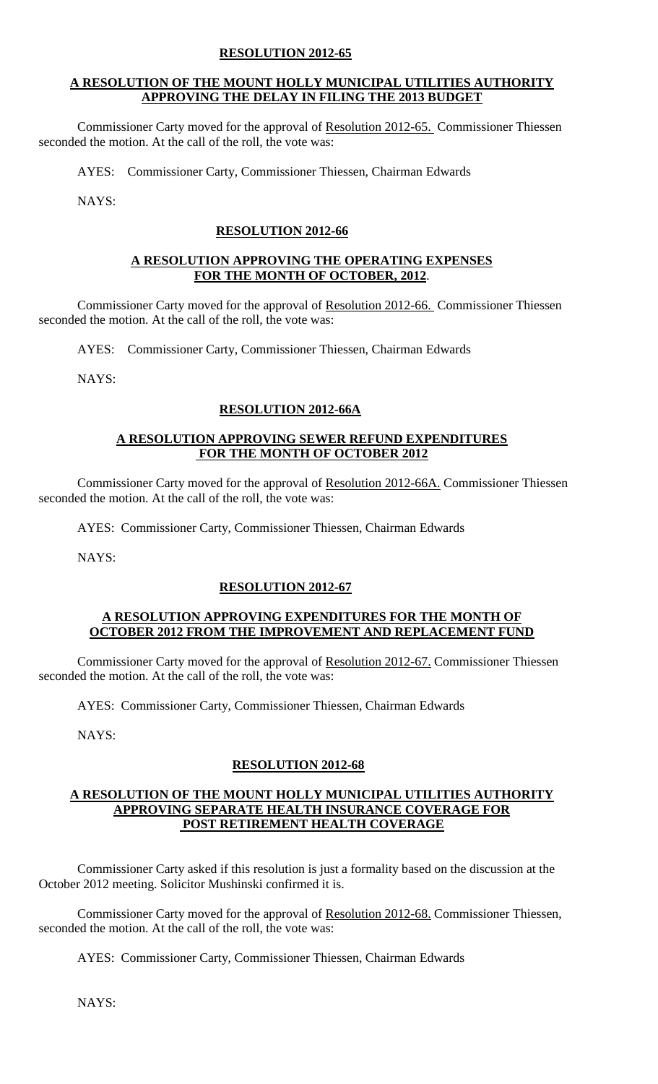## **RESOLUTION 2012-65**

### **A RESOLUTION OF THE MOUNT HOLLY MUNICIPAL UTILITIES AUTHORITY APPROVING THE DELAY IN FILING THE 2013 BUDGET**

Commissioner Carty moved for the approval of Resolution 2012-65. Commissioner Thiessen seconded the motion. At the call of the roll, the vote was:

AYES: Commissioner Carty, Commissioner Thiessen, Chairman Edwards

NAYS:

# **RESOLUTION 2012-66**

#### **A RESOLUTION APPROVING THE OPERATING EXPENSES FOR THE MONTH OF OCTOBER, 2012**.

Commissioner Carty moved for the approval of Resolution 2012-66. Commissioner Thiessen seconded the motion. At the call of the roll, the vote was:

AYES: Commissioner Carty, Commissioner Thiessen, Chairman Edwards

NAYS:

### **RESOLUTION 2012-66A**

#### **A RESOLUTION APPROVING SEWER REFUND EXPENDITURES FOR THE MONTH OF OCTOBER 2012**

Commissioner Carty moved for the approval of Resolution 2012-66A. Commissioner Thiessen seconded the motion. At the call of the roll, the vote was:

AYES: Commissioner Carty, Commissioner Thiessen, Chairman Edwards

NAYS:

#### **RESOLUTION 2012-67**

#### **A RESOLUTION APPROVING EXPENDITURES FOR THE MONTH OF OCTOBER 2012 FROM THE IMPROVEMENT AND REPLACEMENT FUND**

Commissioner Carty moved for the approval of Resolution 2012-67. Commissioner Thiessen seconded the motion. At the call of the roll, the vote was:

AYES: Commissioner Carty, Commissioner Thiessen, Chairman Edwards

NAYS:

# **RESOLUTION 2012-68**

#### **A RESOLUTION OF THE MOUNT HOLLY MUNICIPAL UTILITIES AUTHORITY APPROVING SEPARATE HEALTH INSURANCE COVERAGE FOR POST RETIREMENT HEALTH COVERAGE**

Commissioner Carty asked if this resolution is just a formality based on the discussion at the October 2012 meeting. Solicitor Mushinski confirmed it is.

Commissioner Carty moved for the approval of Resolution 2012-68. Commissioner Thiessen, seconded the motion. At the call of the roll, the vote was:

AYES: Commissioner Carty, Commissioner Thiessen, Chairman Edwards

NAYS: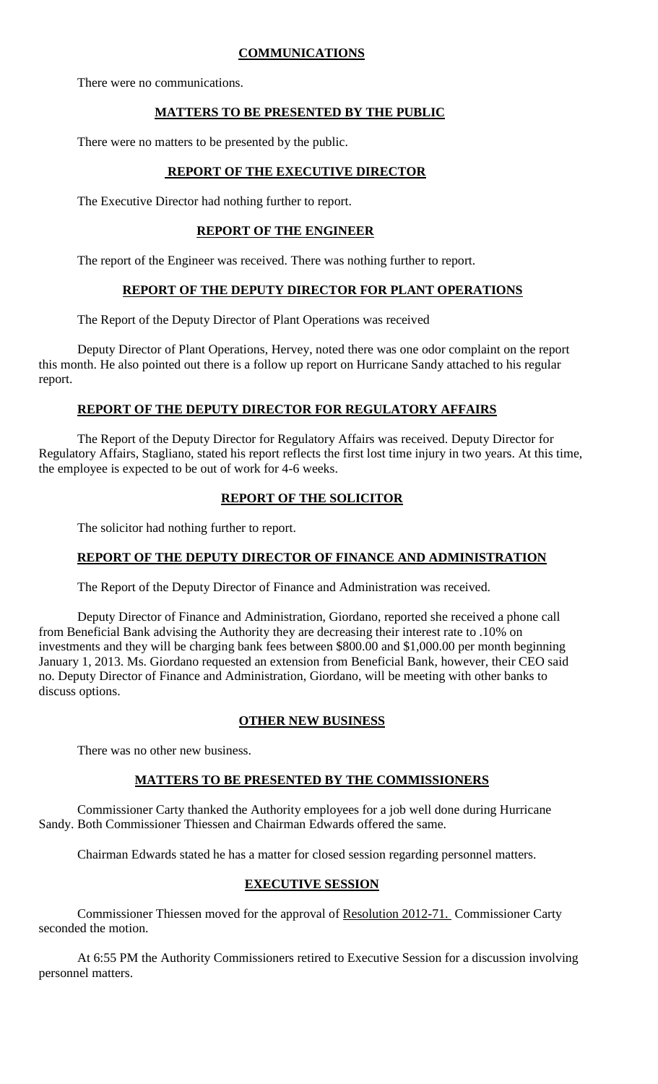### **COMMUNICATIONS**

There were no communications.

# **MATTERS TO BE PRESENTED BY THE PUBLIC**

There were no matters to be presented by the public.

# **REPORT OF THE EXECUTIVE DIRECTOR**

The Executive Director had nothing further to report.

# **REPORT OF THE ENGINEER**

The report of the Engineer was received. There was nothing further to report.

# **REPORT OF THE DEPUTY DIRECTOR FOR PLANT OPERATIONS**

The Report of the Deputy Director of Plant Operations was received

Deputy Director of Plant Operations, Hervey, noted there was one odor complaint on the report this month. He also pointed out there is a follow up report on Hurricane Sandy attached to his regular report.

### **REPORT OF THE DEPUTY DIRECTOR FOR REGULATORY AFFAIRS**

The Report of the Deputy Director for Regulatory Affairs was received. Deputy Director for Regulatory Affairs, Stagliano, stated his report reflects the first lost time injury in two years. At this time, the employee is expected to be out of work for 4-6 weeks.

# **REPORT OF THE SOLICITOR**

The solicitor had nothing further to report.

#### **REPORT OF THE DEPUTY DIRECTOR OF FINANCE AND ADMINISTRATION**

The Report of the Deputy Director of Finance and Administration was received.

Deputy Director of Finance and Administration, Giordano, reported she received a phone call from Beneficial Bank advising the Authority they are decreasing their interest rate to .10% on investments and they will be charging bank fees between \$800.00 and \$1,000.00 per month beginning January 1, 2013. Ms. Giordano requested an extension from Beneficial Bank, however, their CEO said no. Deputy Director of Finance and Administration, Giordano, will be meeting with other banks to discuss options.

# **OTHER NEW BUSINESS**

There was no other new business.

# **MATTERS TO BE PRESENTED BY THE COMMISSIONERS**

Commissioner Carty thanked the Authority employees for a job well done during Hurricane Sandy. Both Commissioner Thiessen and Chairman Edwards offered the same.

Chairman Edwards stated he has a matter for closed session regarding personnel matters.

# **EXECUTIVE SESSION**

Commissioner Thiessen moved for the approval of Resolution 2012-71. Commissioner Carty seconded the motion.

At 6:55 PM the Authority Commissioners retired to Executive Session for a discussion involving personnel matters.